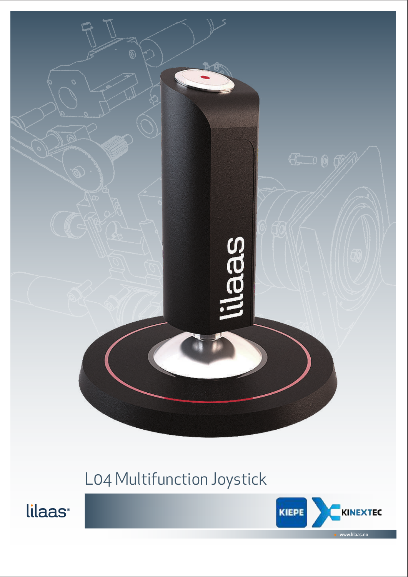

## L04 Multifunction Joystick